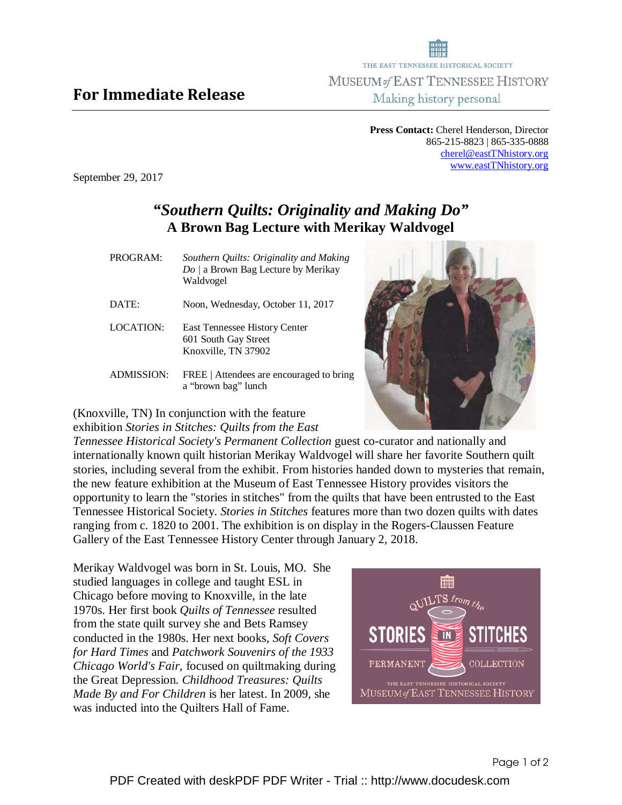## For Immediate Release

**Press Contact:** Cherel Henderson, Director 865-215-8823 | 865-335-0888 cherel@eastTNhistory.org www.eastTNhistory.org

THE EAST TENNESSEE HISTORICAL SOCIETY MUSEUM of EAST TENNESSEE HISTORY Making history personal

September 29, 2017

## *"Southern Quilts: Originality and Making Do"*  **A Brown Bag Lecture with Merikay Waldvogel**

| PROGRAM:       | Southern Quilts: Originality and Making<br>Do / a Brown Bag Lecture by Merikay<br>Waldvogel |
|----------------|---------------------------------------------------------------------------------------------|
| $\text{DATE:}$ | Noon, Wednesday, October 11, 2017                                                           |
| LOCATION:      | <b>East Tennessee History Center</b><br>601 South Gay Street<br>Knoxville, TN 37902         |
| ADMISSION:     | FREE   Attendees are encouraged to bring<br>a "brown bag" lunch                             |

(Knoxville, TN) In conjunction with the feature exhibition *Stories in Stitches: Quilts from the East* 

*Tennessee Historical Society's Permanent Collection* guest co-curator and nationally and internationally known quilt historian Merikay Waldvogel will share her favorite Southern quilt

stories, including several from the exhibit. From histories handed down to mysteries that remain, the new feature exhibition at the Museum of East Tennessee History provides visitors the opportunity to learn the "stories in stitches" from the quilts that have been entrusted to the East Tennessee Historical Society. *Stories in Stitches* features more than two dozen quilts with dates ranging from c. 1820 to 2001. The exhibition is on display in the Rogers-Claussen Feature Gallery of the East Tennessee History Center through January 2, 2018.

Merikay Waldvogel was born in St. Louis, MO. She studied languages in college and taught ESL in Chicago before moving to Knoxville, in the late 1970s. Her first book *Quilts of Tennessee* resulted from the state quilt survey she and Bets Ramsey conducted in the 1980s. Her next books, *Soft Covers for Hard Times* and *Patchwork Souvenirs of the 1933 Chicago World's Fair*, focused on quiltmaking during the Great Depression. *Childhood Treasures: Quilts Made By and For Children* is her latest. In 2009, she was inducted into the Quilters Hall of Fame.